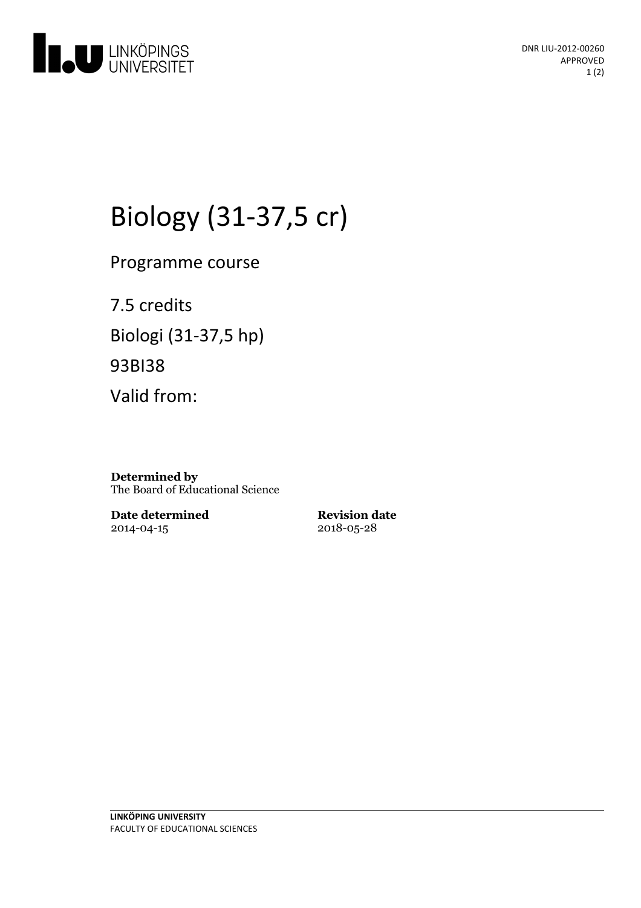

# Biology (31-37,5 cr)

Programme course

7.5 credits Biologi (31-37,5 hp) 93BI38 Valid from:

**Determined by** The Board of Educational Science

**Date determined** 2014-04-15

**Revision date** 2018-05-28